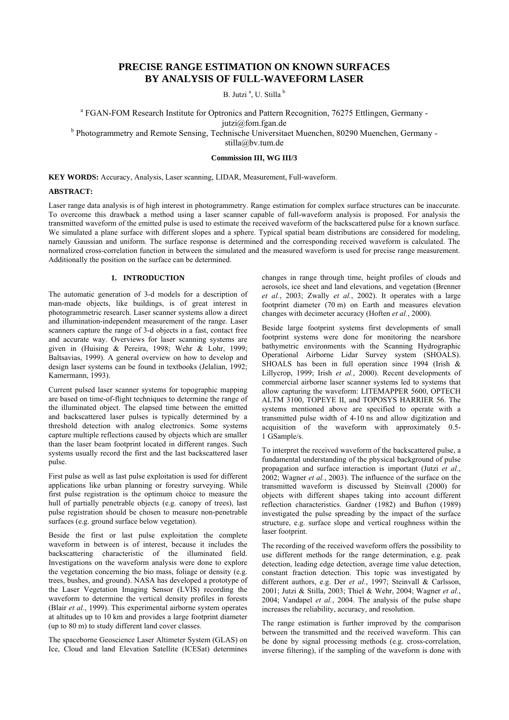# **PRECISE RANGE ESTIMATION ON KNOWN SURFACES BY ANALYSIS OF FULL-WAVEFORM LASER**

B. Jutzi<sup>a</sup>, U. Stilla<sup>b</sup>

<sup>a</sup> FGAN-FOM Research Institute for Optronics and Pattern Recognition, 76275 Ettlingen, Germany jutzi@fom.fgan.de <sup>b</sup> Photogrammetry and Remote Sensing, Technische Universitaet Muenchen, 80290 Muenchen, Germany -

stilla@bv.tum.de

# **Commission III, WG III/3**

**KEY WORDS:** Accuracy, Analysis, Laser scanning, LIDAR, Measurement, Full-waveform.

### **ABSTRACT:**

Laser range data analysis is of high interest in photogrammetry. Range estimation for complex surface structures can be inaccurate. To overcome this drawback a method using a laser scanner capable of full-waveform analysis is proposed. For analysis the transmitted waveform of the emitted pulse is used to estimate the received waveform of the backscattered pulse for a known surface. We simulated a plane surface with different slopes and a sphere. Typical spatial beam distributions are considered for modeling, namely Gaussian and uniform. The surface response is determined and the corresponding received waveform is calculated. The normalized cross-correlation function in between the simulated and the measured waveform is used for precise range measurement. Additionally the position on the surface can be determined.

# **1. INTRODUCTION**

The automatic generation of 3-d models for a description of man-made objects, like buildings, is of great interest in photogrammetric research. Laser scanner systems allow a direct and illumination-independent measurement of the range. Laser scanners capture the range of 3-d objects in a fast, contact free and accurate way. Overviews for laser scanning systems are given in (Huising & Pereira, 1998; Wehr & Lohr, 1999; Baltsavias, 1999). A general overview on how to develop and design laser systems can be found in textbooks (Jelalian, 1992; Kamermann, 1993).

Current pulsed laser scanner systems for topographic mapping are based on time-of-flight techniques to determine the range of the illuminated object. The elapsed time between the emitted and backscattered laser pulses is typically determined by a threshold detection with analog electronics. Some systems capture multiple reflections caused by objects which are smaller than the laser beam footprint located in different ranges. Such systems usually record the first and the last backscattered laser pulse.

First pulse as well as last pulse exploitation is used for different applications like urban planning or forestry surveying. While first pulse registration is the optimum choice to measure the hull of partially penetrable objects (e.g. canopy of trees), last pulse registration should be chosen to measure non-penetrable surfaces (e.g. ground surface below vegetation).

Beside the first or last pulse exploitation the complete waveform in between is of interest, because it includes the backscattering characteristic of the illuminated field. Investigations on the waveform analysis were done to explore the vegetation concerning the bio mass, foliage or density (e.g. trees, bushes, and ground). NASA has developed a prototype of the Laser Vegetation Imaging Sensor (LVIS) recording the waveform to determine the vertical density profiles in forests (Blair *et al.*, 1999). This experimental airborne system operates at altitudes up to 10 km and provides a large footprint diameter (up to 80 m) to study different land cover classes.

The spaceborne Geoscience Laser Altimeter System (GLAS) on Ice, Cloud and land Elevation Satellite (ICESat) determines

changes in range through time, height profiles of clouds and aerosols, ice sheet and land elevations, and vegetation (Brenner *et al.*, 2003; Zwally *et al.*, 2002). It operates with a large footprint diameter (70 m) on Earth and measures elevation changes with decimeter accuracy (Hoften *et al.*, 2000).

Beside large footprint systems first developments of small footprint systems were done for monitoring the nearshore bathymetric environments with the Scanning Hydrographic Operational Airborne Lidar Survey system (SHOALS). SHOALS has been in full operation since 1994 (Irish & Lillycrop, 1999; Irish *et al.*, 2000). Recent developments of commercial airborne laser scanner systems led to systems that allow capturing the waveform: LITEMAPPER 5600, OPTECH ALTM 3100, TOPEYE II, and TOPOSYS HARRIER 56. The systems mentioned above are specified to operate with a transmitted pulse width of 4-10 ns and allow digitization and acquisition of the waveform with approximately 0.5-1 GSample/s.

To interpret the received waveform of the backscattered pulse, a fundamental understanding of the physical background of pulse propagation and surface interaction is important (Jutzi *et al.*, 2002; Wagner *et al.*, 2003). The influence of the surface on the transmitted waveform is discussed by Steinvall (2000) for objects with different shapes taking into account different reflection characteristics. Gardner (1982) and Bufton (1989) investigated the pulse spreading by the impact of the surface structure, e.g. surface slope and vertical roughness within the laser footprint.

The recording of the received waveform offers the possibility to use different methods for the range determination, e.g. peak detection, leading edge detection, average time value detection, constant fraction detection. This topic was investigated by different authors, e.g. Der *et al.*, 1997; Steinvall & Carlsson, 2001; Jutzi & Stilla, 2003; Thiel & Wehr, 2004; Wagner *et al.*, 2004; Vandapel *et al.*, 2004. The analysis of the pulse shape increases the reliability, accuracy, and resolution.

The range estimation is further improved by the comparison between the transmitted and the received waveform. This can be done by signal processing methods (e.g. cross-correlation, inverse filtering), if the sampling of the waveform is done with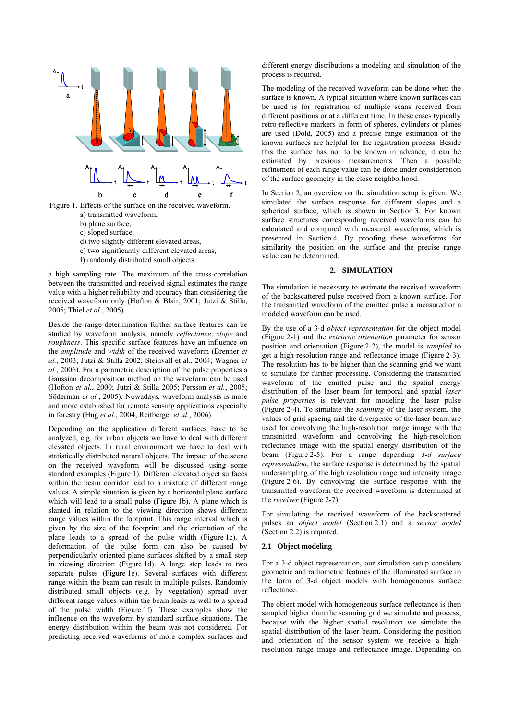

Figure 1. Effects of the surface on the received waveform. a) transmitted waveform, b) plane surface, c) sloped surface,

- d) two slightly different elevated areas,
- e) two significantly different elevated areas,
- f) randomly distributed small objects.

a high sampling rate. The maximum of the cross-correlation between the transmitted and received signal estimates the range value with a higher reliability and accuracy than considering the received waveform only (Hofton & Blair, 2001; Jutzi & Stilla, 2005; Thiel *et al.*, 2005).

Beside the range determination further surface features can be studied by waveform analysis, namely *reflectance*, *slope* and *roughness*. This specific surface features have an influence on the *amplitude* and *width* of the received waveform (Brenner *et al.*, 2003; Jutzi & Stilla 2002; Steinvall et al., 2004; Wagner *et al.*, 2006). For a parametric description of the pulse properties a Gaussian decomposition method on the waveform can be used (Hofton *et al.*, 2000; Jutzi & Stilla 2005; Persson *et al.*, 2005; Söderman *et al.*, 2005). Nowadays, waveform analysis is more and more established for remote sensing applications especially in forestry (Hug *et al.*, 2004; Reitberger *et al.*, 2006).

Depending on the application different surfaces have to be analyzed, e.g. for urban objects we have to deal with different elevated objects. In rural environment we have to deal with statistically distributed natural objects. The impact of the scene on the received waveform will be discussed using some standard examples (Figure 1). Different elevated object surfaces within the beam corridor lead to a mixture of different range values. A simple situation is given by a horizontal plane surface which will lead to a small pulse (Figure 1b). A plane which is slanted in relation to the viewing direction shows different range values within the footprint. This range interval which is given by the size of the footprint and the orientation of the plane leads to a spread of the pulse width (Figure 1c). A deformation of the pulse form can also be caused by perpendicularly oriented plane surfaces shifted by a small step in viewing direction (Figure 1d). A large step leads to two separate pulses (Figure 1e). Several surfaces with different range within the beam can result in multiple pulses. Randomly distributed small objects (e.g. by vegetation) spread over different range values within the beam leads as well to a spread of the pulse width (Figure 1f). These examples show the influence on the waveform by standard surface situations. The energy distribution within the beam was not considered. For predicting received waveforms of more complex surfaces and

different energy distributions a modeling and simulation of the process is required.

The modeling of the received waveform can be done when the surface is known. A typical situation where known surfaces can be used is for registration of multiple scans received from different positions or at a different time. In these cases typically retro-reflective markers in form of spheres, cylinders or planes are used (Dold, 2005) and a precise range estimation of the known surfaces are helpful for the registration process. Beside this the surface has not to be known in advance, it can be estimated by previous measurements. Then a possible refinement of each range value can be done under consideration of the surface geometry in the close neighborhood.

In Section 2, an overview on the simulation setup is given. We simulated the surface response for different slopes and a spherical surface, which is shown in Section 3. For known surface structures corresponding received waveforms can be calculated and compared with measured waveforms, which is presented in Section 4. By proofing these waveforms for similarity the position on the surface and the precise range value can be determined.

#### **2. SIMULATION**

The simulation is necessary to estimate the received waveform of the backscattered pulse received from a known surface. For the transmitted waveform of the emitted pulse a measured or a modeled waveform can be used.

By the use of a 3-d *object representation* for the object model (Figure 2-1) and the *extrinsic orientation* parameter for sensor position and orientation (Figure 2-2), the model is *sampled* to get a high-resolution range and reflectance image (Figure 2-3). The resolution has to be higher than the scanning grid we want to simulate for further processing. Considering the transmitted waveform of the emitted pulse and the spatial energy distribution of the laser beam for temporal and spatial *laser pulse properties* is relevant for modeling the laser pulse (Figure 2-4). To simulate the *scanning* of the laser system, the values of grid spacing and the divergence of the laser beam are used for convolving the high-resolution range image with the transmitted waveform and convolving the high-resolution reflectance image with the spatial energy distribution of the beam (Figure 2-5). For a range depending *1-d surface representation*, the surface response is determined by the spatial undersampling of the high resolution range and intensity image (Figure 2-6). By convolving the surface response with the transmitted waveform the received waveform is determined at the *receiver* (Figure 2-7).

For simulating the received waveform of the backscattered pulses an *object model* (Section 2.1) and a *sensor model* (Section 2.2) is required.

## **2.1 Object modeling**

For a 3-d object representation, our simulation setup considers geometric and radiometric features of the illuminated surface in the form of 3-d object models with homogeneous surface reflectance.

The object model with homogeneous surface reflectance is then sampled higher than the scanning grid we simulate and process, because with the higher spatial resolution we simulate the spatial distribution of the laser beam. Considering the position and orientation of the sensor system we receive a highresolution range image and reflectance image. Depending on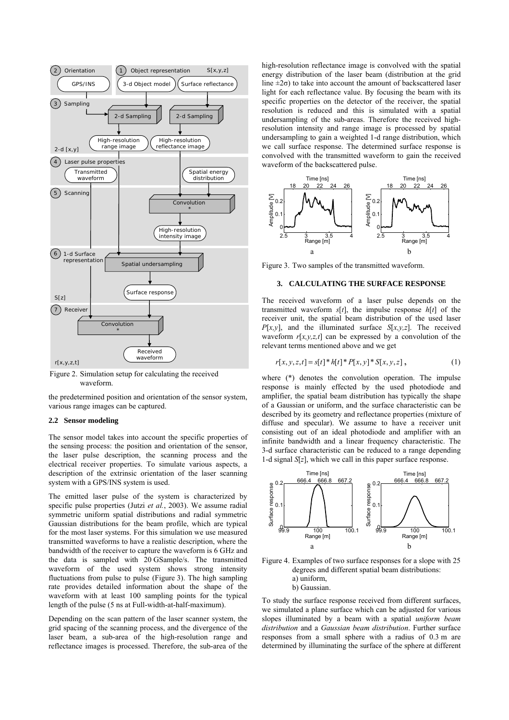

Figure 2. Simulation setup for calculating the received waveform.

the predetermined position and orientation of the sensor system, various range images can be captured.

#### **2.2 Sensor modeling**

The sensor model takes into account the specific properties of the sensing process: the position and orientation of the sensor, the laser pulse description, the scanning process and the electrical receiver properties. To simulate various aspects, a description of the extrinsic orientation of the laser scanning system with a GPS/INS system is used.

The emitted laser pulse of the system is characterized by specific pulse properties (Jutzi *et al.*, 2003). We assume radial symmetric uniform spatial distributions and radial symmetric Gaussian distributions for the beam profile, which are typical for the most laser systems. For this simulation we use measured transmitted waveforms to have a realistic description, where the bandwidth of the receiver to capture the waveform is 6 GHz and the data is sampled with 20 GSample/s. The transmitted waveform of the used system shows strong intensity fluctuations from pulse to pulse (Figure 3). The high sampling rate provides detailed information about the shape of the waveform with at least 100 sampling points for the typical length of the pulse (5 ns at Full-width-at-half-maximum).

Depending on the scan pattern of the laser scanner system, the grid spacing of the scanning process, and the divergence of the laser beam, a sub-area of the high-resolution range and reflectance images is processed. Therefore, the sub-area of the high-resolution reflectance image is convolved with the spatial energy distribution of the laser beam (distribution at the grid line  $\pm 2\sigma$ ) to take into account the amount of backscattered laser light for each reflectance value. By focusing the beam with its specific properties on the detector of the receiver, the spatial resolution is reduced and this is simulated with a spatial undersampling of the sub-areas. Therefore the received highresolution intensity and range image is processed by spatial undersampling to gain a weighted 1-d range distribution, which we call surface response. The determined surface response is convolved with the transmitted waveform to gain the received waveform of the backscattered pulse.



Figure 3. Two samples of the transmitted waveform.

## **3. CALCULATING THE SURFACE RESPONSE**

The received waveform of a laser pulse depends on the transmitted waveform  $s[t]$ , the impulse response  $h[t]$  of the receiver unit, the spatial beam distribution of the used laser *P*[*x,y*], and the illuminated surface *S*[*x,y,z*]. The received waveform  $r[x,y,z,t]$  can be expressed by a convolution of the relevant terms mentioned above and we get

$$
r[x, y, z, t] = s[t]^* h[t]^* P[x, y]^* S[x, y, z],
$$
 (1)

where (\*) denotes the convolution operation. The impulse response is mainly effected by the used photodiode and amplifier, the spatial beam distribution has typically the shape of a Gaussian or uniform, and the surface characteristic can be described by its geometry and reflectance properties (mixture of diffuse and specular). We assume to have a receiver unit consisting out of an ideal photodiode and amplifier with an infinite bandwidth and a linear frequency characteristic. The 3-d surface characteristic can be reduced to a range depending 1-d signal *S*[*z*], which we call in this paper surface response.



Figure 4. Examples of two surface responses for a slope with 25 degrees and different spatial beam distributions: a) uniform, b) Gaussian.

To study the surface response received from different surfaces, we simulated a plane surface which can be adjusted for various slopes illuminated by a beam with a spatial *uniform beam distribution* and a *Gaussian beam distribution*. Further surface responses from a small sphere with a radius of 0.3 m are determined by illuminating the surface of the sphere at different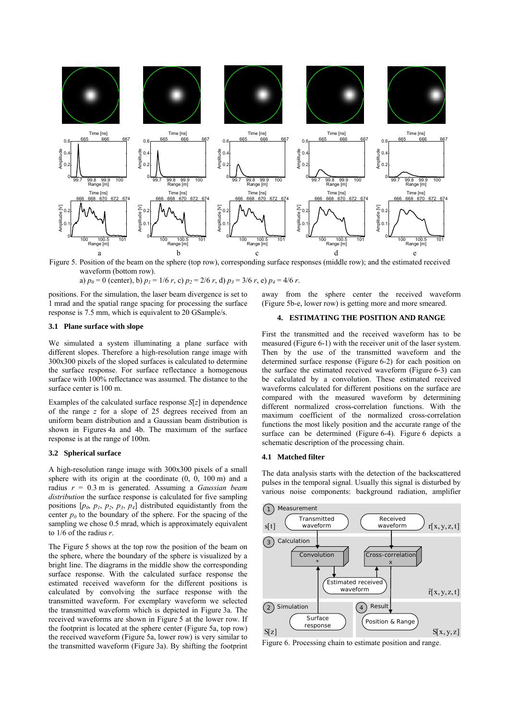

Figure 5. Position of the beam on the sphere (top row), corresponding surface responses (middle row); and the estimated received waveform (bottom row).

a)  $p_0 = 0$  (center), b)  $p_1 = 1/6$  *r*, c)  $p_2 = 2/6$  *r*, d)  $p_3 = 3/6$  *r*, e)  $p_4 = 4/6$  *r*.

positions. For the simulation, the laser beam divergence is set to 1 mrad and the spatial range spacing for processing the surface response is 7.5 mm, which is equivalent to 20 GSample/s.

**3.1 Plane surface with slope** 

We simulated a system illuminating a plane surface with different slopes. Therefore a high-resolution range image with 300x300 pixels of the sloped surfaces is calculated to determine the surface response. For surface reflectance a homogenous surface with 100% reflectance was assumed. The distance to the surface center is 100 m.

Examples of the calculated surface response *S*[*z*] in dependence of the range *z* for a slope of 25 degrees received from an uniform beam distribution and a Gaussian beam distribution is shown in Figures 4a and 4b. The maximum of the surface response is at the range of 100m.

# **3.2 Spherical surface**

A high-resolution range image with 300x300 pixels of a small sphere with its origin at the coordinate  $(0, 0, 100 \text{ m})$  and a radius *r* = 0.3 m is generated. Assuming a *Gaussian beam distribution* the surface response is calculated for five sampling positions  $[p_0, p_1, p_2, p_3, p_4]$  distributed equidistantly from the center  $p_0$  to the boundary of the sphere. For the spacing of the sampling we chose 0.5 mrad, which is approximately equivalent to 1/6 of the radius *r*.

The Figure 5 shows at the top row the position of the beam on the sphere, where the boundary of the sphere is visualized by a bright line. The diagrams in the middle show the corresponding surface response. With the calculated surface response the estimated received waveform for the different positions is calculated by convolving the surface response with the transmitted waveform. For exemplary waveform we selected the transmitted waveform which is depicted in Figure 3a. The received waveforms are shown in Figure 5 at the lower row. If the footprint is located at the sphere center (Figure 5a, top row) the received waveform (Figure 5a, lower row) is very similar to the transmitted waveform (Figure 3a). By shifting the footprint

away from the sphere center the received waveform (Figure 5b-e, lower row) is getting more and more smeared.

# **4. ESTIMATING THE POSITION AND RANGE**

First the transmitted and the received waveform has to be measured (Figure 6-1) with the receiver unit of the laser system. Then by the use of the transmitted waveform and the determined surface response (Figure 6-2) for each position on the surface the estimated received waveform (Figure 6-3) can be calculated by a convolution. These estimated received waveforms calculated for different positions on the surface are compared with the measured waveform by determining different normalized cross-correlation functions. With the maximum coefficient of the normalized cross-correlation functions the most likely position and the accurate range of the surface can be determined (Figure 6-4). Figure 6 depicts a schematic description of the processing chain.

### **4.1 Matched filter**

The data analysis starts with the detection of the backscattered pulses in the temporal signal. Usually this signal is disturbed by various noise components: background radiation, amplifier



Figure 6. Processing chain to estimate position and range.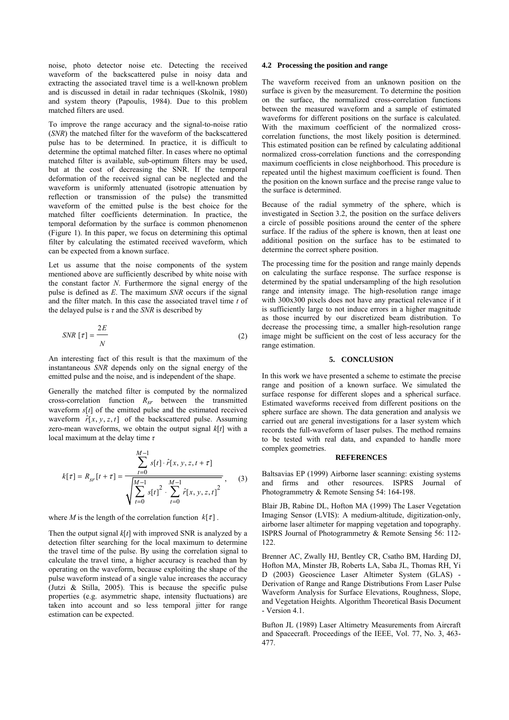noise, photo detector noise etc. Detecting the received waveform of the backscattered pulse in noisy data and extracting the associated travel time is a well-known problem and is discussed in detail in radar techniques (Skolnik, 1980) and system theory (Papoulis, 1984). Due to this problem matched filters are used.

To improve the range accuracy and the signal-to-noise ratio (*SNR*) the matched filter for the waveform of the backscattered pulse has to be determined. In practice, it is difficult to determine the optimal matched filter. In cases where no optimal matched filter is available, sub-optimum filters may be used, but at the cost of decreasing the SNR. If the temporal deformation of the received signal can be neglected and the waveform is uniformly attenuated (isotropic attenuation by reflection or transmission of the pulse) the transmitted waveform of the emitted pulse is the best choice for the matched filter coefficients determination. In practice, the temporal deformation by the surface is common phenomenon (Figure 1). In this paper, we focus on determining this optimal filter by calculating the estimated received waveform, which can be expected from a known surface.

Let us assume that the noise components of the system mentioned above are sufficiently described by white noise with the constant factor *N*. Furthermore the signal energy of the pulse is defined as *E*. The maximum *SNR* occurs if the signal and the filter match. In this case the associated travel time *t* of the delayed pulse is  $\tau$  and the *SNR* is described by

$$
SNR \left[ \tau \right] = \frac{2E}{N} \tag{2}
$$

An interesting fact of this result is that the maximum of the instantaneous *SNR* depends only on the signal energy of the emitted pulse and the noise, and is independent of the shape.

Generally the matched filter is computed by the normalized cross-correlation function *Rsr* between the transmitted waveform *s*[*t*] of the emitted pulse and the estimated received waveform  $\hat{r}[x, y, z, t]$  of the backscattered pulse. Assuming zero-mean waveforms, we obtain the output signal  $k[t]$  with a local maximum at the delay time *τ*

$$
k[\tau] = R_{sr}[t + \tau] = \frac{\sum_{t=0}^{M-1} s[t] \cdot \hat{r}[x, y, z, t + \tau]}{\sqrt{\sum_{t=0}^{M-1} s[t]^2 \cdot \sum_{t=0}^{M-1} \hat{r}[x, y, z, t]^2}},
$$
(3)

where *M* is the length of the correlation function  $k[\tau]$ .

Then the output signal *k*[*t*] with improved SNR is analyzed by a detection filter searching for the local maximum to determine the travel time of the pulse. By using the correlation signal to calculate the travel time, a higher accuracy is reached than by operating on the waveform, because exploiting the shape of the pulse waveform instead of a single value increases the accuracy (Jutzi & Stilla, 2005). This is because the specific pulse properties (e.g. asymmetric shape, intensity fluctuations) are taken into account and so less temporal jitter for range estimation can be expected.

#### **4.2 Processing the position and range**

The waveform received from an unknown position on the surface is given by the measurement. To determine the position on the surface, the normalized cross-correlation functions between the measured waveform and a sample of estimated waveforms for different positions on the surface is calculated. With the maximum coefficient of the normalized crosscorrelation functions, the most likely position is determined. This estimated position can be refined by calculating additional normalized cross-correlation functions and the corresponding maximum coefficients in close neighborhood. This procedure is repeated until the highest maximum coefficient is found. Then the position on the known surface and the precise range value to the surface is determined.

Because of the radial symmetry of the sphere, which is investigated in Section 3.2, the position on the surface delivers a circle of possible positions around the center of the sphere surface. If the radius of the sphere is known, then at least one additional position on the surface has to be estimated to determine the correct sphere position.

The processing time for the position and range mainly depends on calculating the surface response. The surface response is determined by the spatial undersampling of the high resolution range and intensity image. The high-resolution range image with 300x300 pixels does not have any practical relevance if it is sufficiently large to not induce errors in a higher magnitude as those incurred by our discretized beam distribution. To decrease the processing time, a smaller high-resolution range image might be sufficient on the cost of less accuracy for the range estimation.

#### **5. CONCLUSION**

In this work we have presented a scheme to estimate the precise range and position of a known surface. We simulated the surface response for different slopes and a spherical surface. Estimated waveforms received from different positions on the sphere surface are shown. The data generation and analysis we carried out are general investigations for a laser system which records the full-waveform of laser pulses. The method remains to be tested with real data, and expanded to handle more complex geometries.

### **REFERENCES**

Baltsavias EP (1999) Airborne laser scanning: existing systems and firms and other resources. ISPRS Journal of Photogrammetry & Remote Sensing 54: 164-198.

Blair JB, Rabine DL, Hofton MA (1999) The Laser Vegetation Imaging Sensor (LVIS): A medium-altitude, digitization-only, airborne laser altimeter for mapping vegetation and topography. ISPRS Journal of Photogrammetry & Remote Sensing 56: 112- 122.

Brenner AC, Zwally HJ, Bentley CR, Csatho BM, Harding DJ, Hofton MA, Minster JB, Roberts LA, Saba JL, Thomas RH, Yi D (2003) Geoscience Laser Altimeter System (GLAS) - Derivation of Range and Range Distributions From Laser Pulse Waveform Analysis for Surface Elevations, Roughness, Slope, and Vegetation Heights. Algorithm Theoretical Basis Document - Version 4.1.

Bufton JL (1989) Laser Altimetry Measurements from Aircraft and Spacecraft. Proceedings of the IEEE, Vol. 77, No. 3, 463- 477.